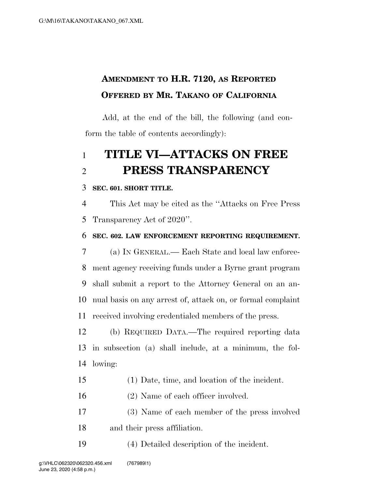## **AMENDMENT TO H.R. 7120, AS REPORTED OFFERED BY MR. TAKANO OF CALIFORNIA**

Add, at the end of the bill, the following (and conform the table of contents accordingly):

# **TITLE VI—ATTACKS ON FREE PRESS TRANSPARENCY**

### **SEC. 601. SHORT TITLE.**

 This Act may be cited as the ''Attacks on Free Press Transparency Act of 2020''.

**SEC. 602. LAW ENFORCEMENT REPORTING REQUIREMENT.** 

 (a) IN GENERAL.— Each State and local law enforce- ment agency receiving funds under a Byrne grant program shall submit a report to the Attorney General on an an- nual basis on any arrest of, attack on, or formal complaint received involving credentialed members of the press.

 (b) REQUIRED DATA.—The required reporting data in subsection (a) shall include, at a minimum, the fol-lowing:

- (1) Date, time, and location of the incident.
- 16 (2) Name of each officer involved.
- (3) Name of each member of the press involved and their press affiliation.

(4) Detailed description of the incident.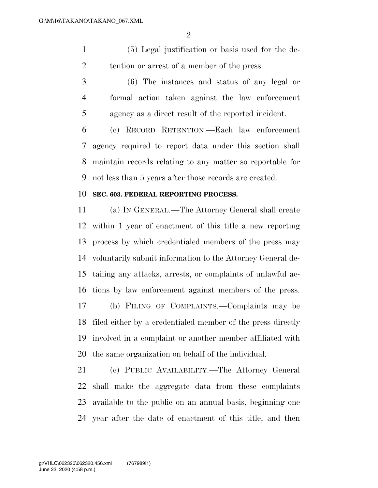(5) Legal justification or basis used for the de-2 tention or arrest of a member of the press.

 (6) The instances and status of any legal or formal action taken against the law enforcement agency as a direct result of the reported incident.

 (c) RECORD RETENTION.—Each law enforcement agency required to report data under this section shall maintain records relating to any matter so reportable for not less than 5 years after those records are created.

#### **SEC. 603. FEDERAL REPORTING PROCESS.**

 (a) IN GENERAL.—The Attorney General shall create within 1 year of enactment of this title a new reporting process by which credentialed members of the press may voluntarily submit information to the Attorney General de- tailing any attacks, arrests, or complaints of unlawful ac- tions by law enforcement against members of the press. (b) FILING OF COMPLAINTS.—Complaints may be filed either by a credentialed member of the press directly involved in a complaint or another member affiliated with the same organization on behalf of the individual.

 (c) PUBLIC AVAILABILITY.—The Attorney General shall make the aggregate data from these complaints available to the public on an annual basis, beginning one year after the date of enactment of this title, and then